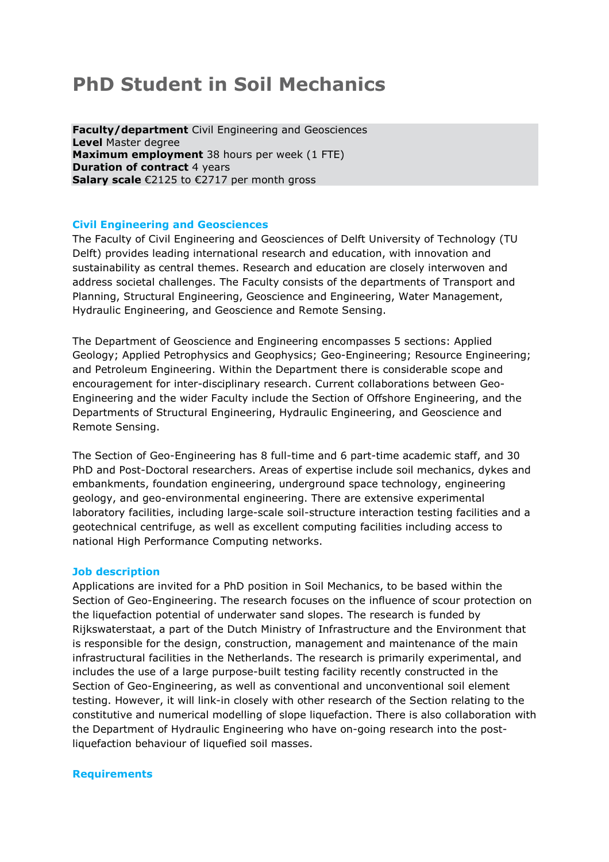# **PhD Student in Soil Mechanics**

**Faculty/department** Civil Engineering and Geosciences **Level** Master degree **Maximum employment** 38 hours per week (1 FTE) **Duration of contract 4 years Salary scale** €2125 to €2717 per month gross

## **Civil Engineering and Geosciences**

The Faculty of Civil Engineering and Geosciences of Delft University of Technology (TU Delft) provides leading international research and education, with innovation and sustainability as central themes. Research and education are closely interwoven and address societal challenges. The Faculty consists of the departments of Transport and Planning, Structural Engineering, Geoscience and Engineering, Water Management, Hydraulic Engineering, and Geoscience and Remote Sensing.

The Department of Geoscience and Engineering encompasses 5 sections: Applied Geology; Applied Petrophysics and Geophysics; Geo-Engineering; Resource Engineering; and Petroleum Engineering. Within the Department there is considerable scope and encouragement for inter-disciplinary research. Current collaborations between Geo-Engineering and the wider Faculty include the Section of Offshore Engineering, and the Departments of Structural Engineering, Hydraulic Engineering, and Geoscience and Remote Sensing.

The Section of Geo-Engineering has 8 full-time and 6 part-time academic staff, and 30 PhD and Post-Doctoral researchers. Areas of expertise include soil mechanics, dykes and embankments, foundation engineering, underground space technology, engineering geology, and geo-environmental engineering. There are extensive experimental laboratory facilities, including large-scale soil-structure interaction testing facilities and a geotechnical centrifuge, as well as excellent computing facilities including access to national High Performance Computing networks.

### **Job description**

Applications are invited for a PhD position in Soil Mechanics, to be based within the Section of Geo-Engineering. The research focuses on the influence of scour protection on the liquefaction potential of underwater sand slopes. The research is funded by Rijkswaterstaat, a part of the Dutch Ministry of Infrastructure and the Environment that is responsible for the design, construction, management and maintenance of the main infrastructural facilities in the Netherlands. The research is primarily experimental, and includes the use of a large purpose-built testing facility recently constructed in the Section of Geo-Engineering, as well as conventional and unconventional soil element testing. However, it will link-in closely with other research of the Section relating to the constitutive and numerical modelling of slope liquefaction. There is also collaboration with the Department of Hydraulic Engineering who have on-going research into the postliquefaction behaviour of liquefied soil masses.

#### **Requirements**